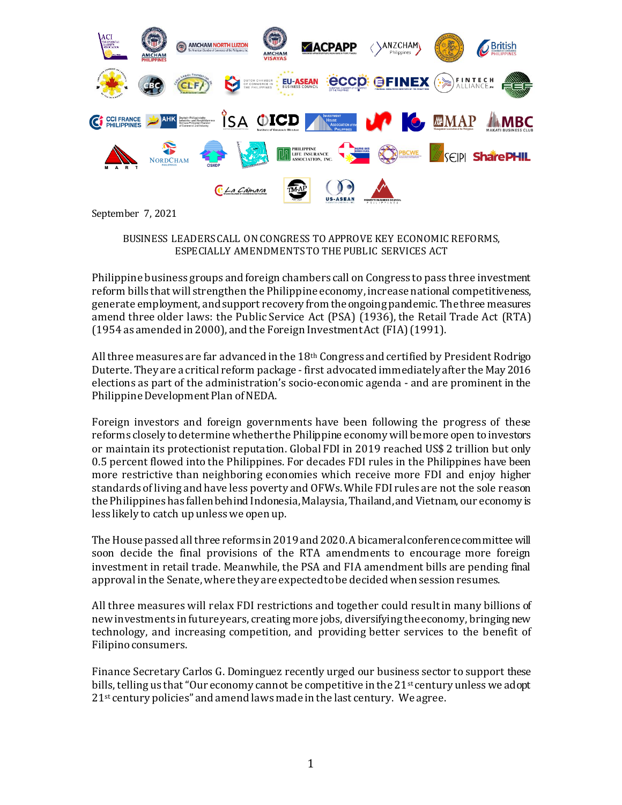

September 7, 2021

BUSINESS LEADERS CALL ON CONGRESS TO APPROVE KEY ECONOMIC REFORMS, ESPECIALLY AMENDMENTS TO THE PUBLIC SERVICES ACT

Philippine business groups and foreign chambers call on Congress to pass three investment reform bills that will strengthen the Philippine economy, increase national competitiveness, generate employment, and support recovery from the ongoing pandemic. The three measures amend three older laws: the Public Service Act (PSA) (1936), the Retail Trade Act (RTA) (1954 as amended in 2000), and the Foreign Investment Act (FIA) (1991).

All three measures are far advanced in the 18th Congress and certified by President Rodrigo Duterte. They are a critical reform package - first advocated immediately after the May 2016 elections as part of the administration's socio-economic agenda - and are prominent in the Philippine Development Plan of NEDA.

Foreign investors and foreign governments have been following the progress of these reforms closely to determine whether the Philippine economy will be more open to investors or maintain its protectionist reputation. Global FDI in 2019 reached US\$ 2 trillion but only 0.5 percent flowed into the Philippines. For decades FDI rules in the Philippines have been more restrictive than neighboring economies which receive more FDI and enjoy higher standards of living and have less poverty and OFWs. While FDI rules are not the sole reason the Philippines has fallen behind Indonesia, Malaysia, Thailand, and Vietnam, our economy is less likely to catch up unless we open up.

The House passed all three reforms in 2019 and 2020. A bicameral conference committee will soon decide the final provisions of the RTA amendments to encourage more foreign investment in retail trade. Meanwhile, the PSA and FIA amendment bills are pending final approval in the Senate,where they are expected to be decided when session resumes.

All three measures will relax FDI restrictions and together could result in many billions of new investments in future years, creating more jobs, diversifying the economy, bringing new technology, and increasing competition, and providing better services to the benefit of Filipino consumers.

Finance Secretary Carlos G. Dominguez recently urged our business sector to support these bills, telling us that "Our economy cannot be competitive in the  $21<sup>st</sup>$  century unless we adopt 21<sup>st</sup> century policies" and amend laws made in the last century. We agree.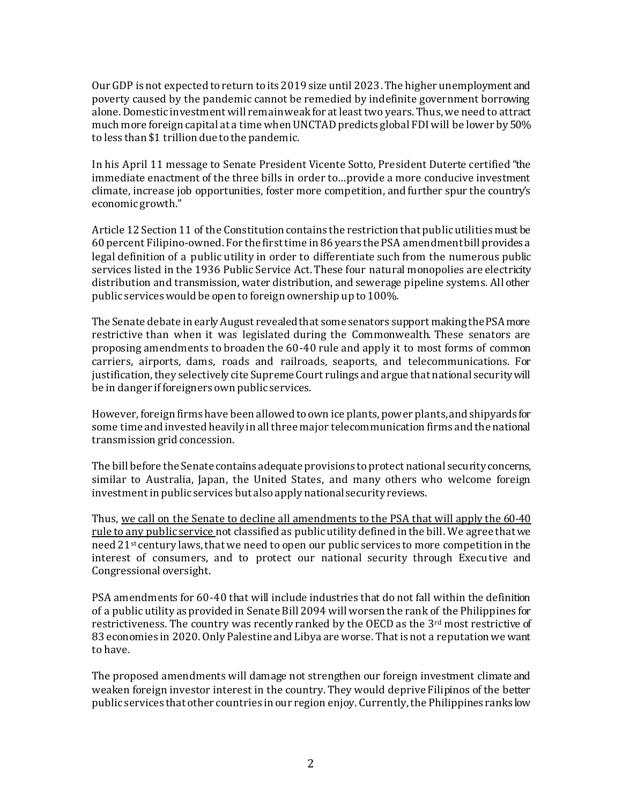Our GDP is not expected to return to its 2019 size until 2023. The higher unemployment and poverty caused by the pandemic cannot be remedied by indefinite government borrowing alone. Domestic investment will remain weak for at least two years. Thus, we need to attract much more foreign capital at a time when UNCTAD predicts global FDI will be lower by 50% to less than \$1 trillion due to the pandemic.

In his April 11 message to Senate President Vicente Sotto, President Duterte certified "the immediate enactment of the three bills in order to…provide a more conducive investment climate, increase job opportunities, foster more competition, and further spur the country's economic growth."

Article 12 Section 11 of the Constitution contains the restriction that public utilities must be 60 percent Filipino-owned. For the first time in 86 years the PSA amendment bill provides a legal definition of a public utility in order to differentiate such from the numerous public services listed in the 1936 Public Service Act. These four natural monopolies are electricity distribution and transmission, water distribution, and sewerage pipeline systems. All other public services would be open to foreign ownership up to 100%.

The Senate debate in early August revealed that some senators support making the PSA more restrictive than when it was legislated during the Commonwealth. These senators are proposing amendments to broaden the 60-40 rule and apply it to most forms of common carriers, airports, dams, roads and railroads, seaports, and telecommunications. For justification, they selectively cite Supreme Court rulings and argue that national security will be in danger if foreigners own public services.

However, foreign firms have been allowed to own ice plants, power plants, and shipyards for some time and invested heavily in all three major telecommunication firms and the national transmission grid concession.

The bill before the Senate contains adequate provisions to protect national security concerns, similar to Australia, Japan, the United States, and many others who welcome foreign investment in public services but also apply national security reviews.

Thus, we call on the Senate to decline all amendments to the PSA that will apply the 60-40 rule to any public service not classified as public utility defined in the bill. We agree that we need 21st century laws, that we need to open our public services to more competition in the interest of consumers, and to protect our national security through Executive and Congressional oversight.

PSA amendments for 60-40 that will include industries that do not fall within the definition of a public utility as provided in Senate Bill 2094 will worsen the rank of the Philippines for restrictiveness. The country was recently ranked by the OECD as the 3<sup>rd</sup> most restrictive of 83 economies in 2020. Only Palestine and Libya are worse. That is not a reputation we want to have.

The proposed amendments will damage not strengthen our foreign investment climate and weaken foreign investor interest in the country. They would deprive Filipinos of the better public services that other countries in our region enjoy. Currently, the Philippines ranks low